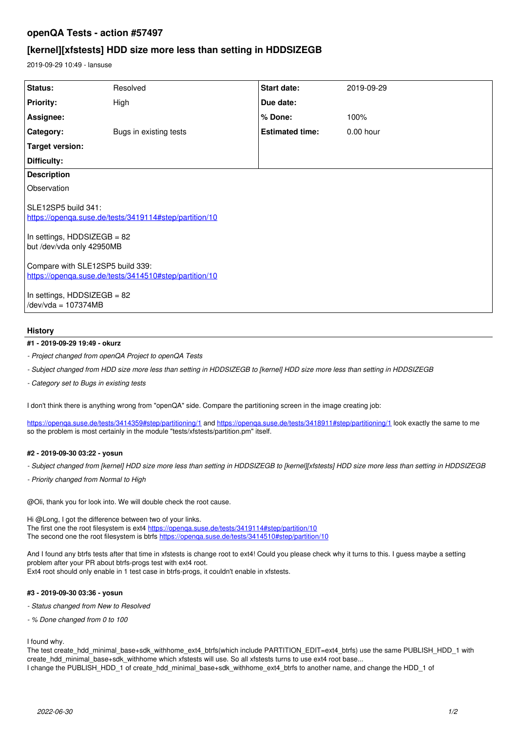# **openQA Tests - action #57497**

# **[kernel][xfstests] HDD size more less than setting in HDDSIZEGB**

2019-09-29 10:49 - lansuse

| Status:                                                                                                                                   | Resolved               | Start date:            | 2019-09-29 |
|-------------------------------------------------------------------------------------------------------------------------------------------|------------------------|------------------------|------------|
| <b>Priority:</b>                                                                                                                          | High                   | Due date:              |            |
| Assignee:                                                                                                                                 |                        | % Done:                | 100%       |
| Category:                                                                                                                                 | Bugs in existing tests | <b>Estimated time:</b> | 0.00 hour  |
| Target version:                                                                                                                           |                        |                        |            |
| Difficulty:                                                                                                                               |                        |                        |            |
| <b>Description</b>                                                                                                                        |                        |                        |            |
| Observation                                                                                                                               |                        |                        |            |
| SLE12SP5 build 341:<br>https://openga.suse.de/tests/3419114#step/partition/10<br>In settings, HDDSIZEGB = 82<br>but /dev/vda only 42950MB |                        |                        |            |
| Compare with SLE12SP5 build 339:<br>https://openga.suse.de/tests/3414510#step/partition/10                                                |                        |                        |            |
| In settings, HDDSIZEGB = 82<br>/dev/vda = 107374MB                                                                                        |                        |                        |            |

### **History**

### **#1 - 2019-09-29 19:49 - okurz**

- *Project changed from openQA Project to openQA Tests*
- *Subject changed from HDD size more less than setting in HDDSIZEGB to [kernel] HDD size more less than setting in HDDSIZEGB*
- *Category set to Bugs in existing tests*

I don't think there is anything wrong from "openQA" side. Compare the partitioning screen in the image creating job:

<https://openqa.suse.de/tests/3414359#step/partitioning/1> and <https://openqa.suse.de/tests/3418911#step/partitioning/1> look exactly the same to me so the problem is most certainly in the module "tests/xfstests/partition.pm" itself.

### **#2 - 2019-09-30 03:22 - yosun**

- *Subject changed from [kernel] HDD size more less than setting in HDDSIZEGB to [kernel][xfstests] HDD size more less than setting in HDDSIZEGB*
- *Priority changed from Normal to High*

@Oli, thank you for look into. We will double check the root cause.

Hi @Long, I got the difference between two of your links. The first one the root filesystem is ext4<https://openqa.suse.de/tests/3419114#step/partition/10> The second one the root filesystem is btrfs https://openga.suse.de/tests/3414510#step/partition/10

And I found any btrfs tests after that time in xfstests is change root to ext4! Could you please check why it turns to this. I guess maybe a setting problem after your PR about btrfs-progs test with ext4 root. Ext4 root should only enable in 1 test case in btrfs-progs, it couldn't enable in xfstests.

#### **#3 - 2019-09-30 03:36 - yosun**

- *Status changed from New to Resolved*
- *% Done changed from 0 to 100*

I found why.

The test create\_hdd\_minimal\_base+sdk\_withhome\_ext4\_btrfs(which include PARTITION\_EDIT=ext4\_btrfs) use the same PUBLISH\_HDD\_1 with create\_hdd\_minimal\_base+sdk\_withhome which xfstests will use. So all xfstests turns to use ext4 root base... I change the PUBLISH\_HDD\_1 of create\_hdd\_minimal\_base+sdk\_withhome\_ext4\_btrfs to another name, and change the HDD\_1 of